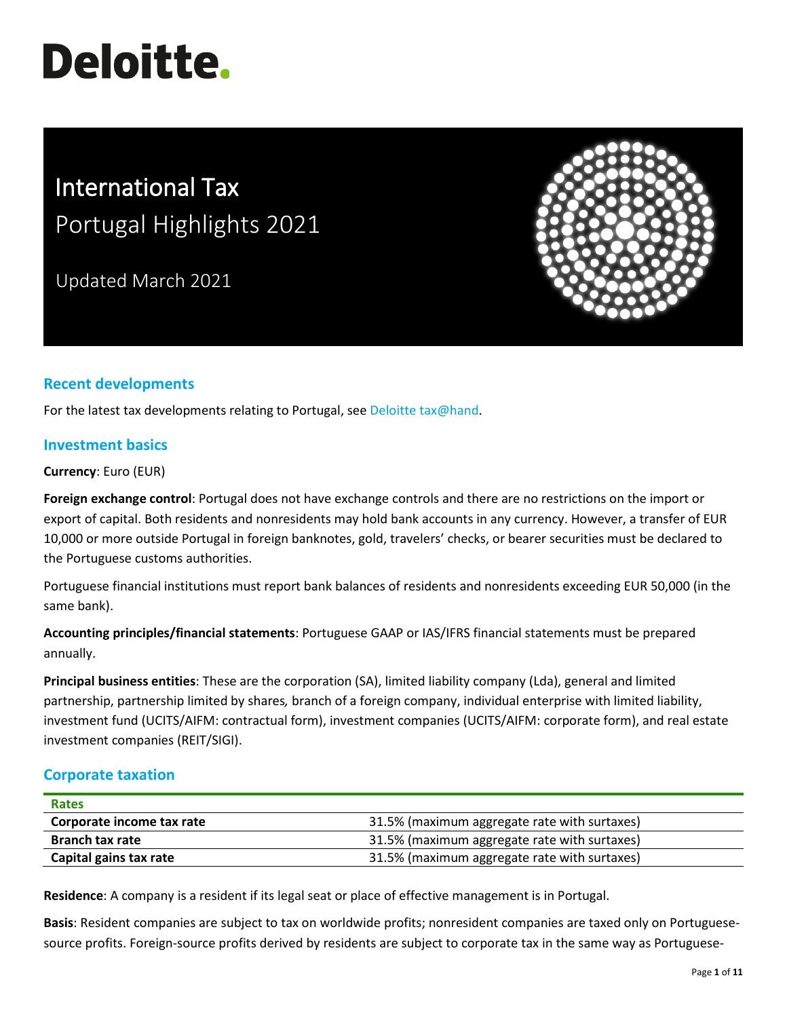# **Deloitte.**

# International Tax Portugal Highlights 2021

Updated March 2021



## **Recent developments**

For the latest tax developments relating to Portugal, see [Deloitte tax@hand.](https://www.taxathand.com/world-news/Portugal)

#### **Investment basics**

**Currency**: Euro (EUR)

**Foreign exchange control**: Portugal does not have exchange controls and there are no restrictions on the import or export of capital. Both residents and nonresidents may hold bank accounts in any currency. However, a transfer of EUR 10,000 or more outside Portugal in foreign banknotes, gold, travelers' checks, or bearer securities must be declared to the Portuguese customs authorities.

Portuguese financial institutions must report bank balances of residents and nonresidents exceeding EUR 50,000 (in the same bank).

**Accounting principles/financial statements**: Portuguese GAAP or IAS/IFRS financial statements must be prepared annually.

**Principal business entities**: These are the corporation (SA), limited liability company (Lda), general and limited partnership, partnership limited by shares*,* branch of a foreign company, individual enterprise with limited liability, investment fund (UCITS/AIFM: contractual form), investment companies (UCITS/AIFM: corporate form), and real estate investment companies (REIT/SIGI).

#### **Corporate taxation**

| <b>Rates</b>              |                                              |
|---------------------------|----------------------------------------------|
| Corporate income tax rate | 31.5% (maximum aggregate rate with surtaxes) |
| <b>Branch tax rate</b>    | 31.5% (maximum aggregate rate with surtaxes) |
| Capital gains tax rate    | 31.5% (maximum aggregate rate with surtaxes) |

**Residence**: A company is a resident if its legal seat or place of effective management is in Portugal.

**Basis**: Resident companies are subject to tax on worldwide profits; nonresident companies are taxed only on Portuguesesource profits. Foreign-source profits derived by residents are subject to corporate tax in the same way as Portuguese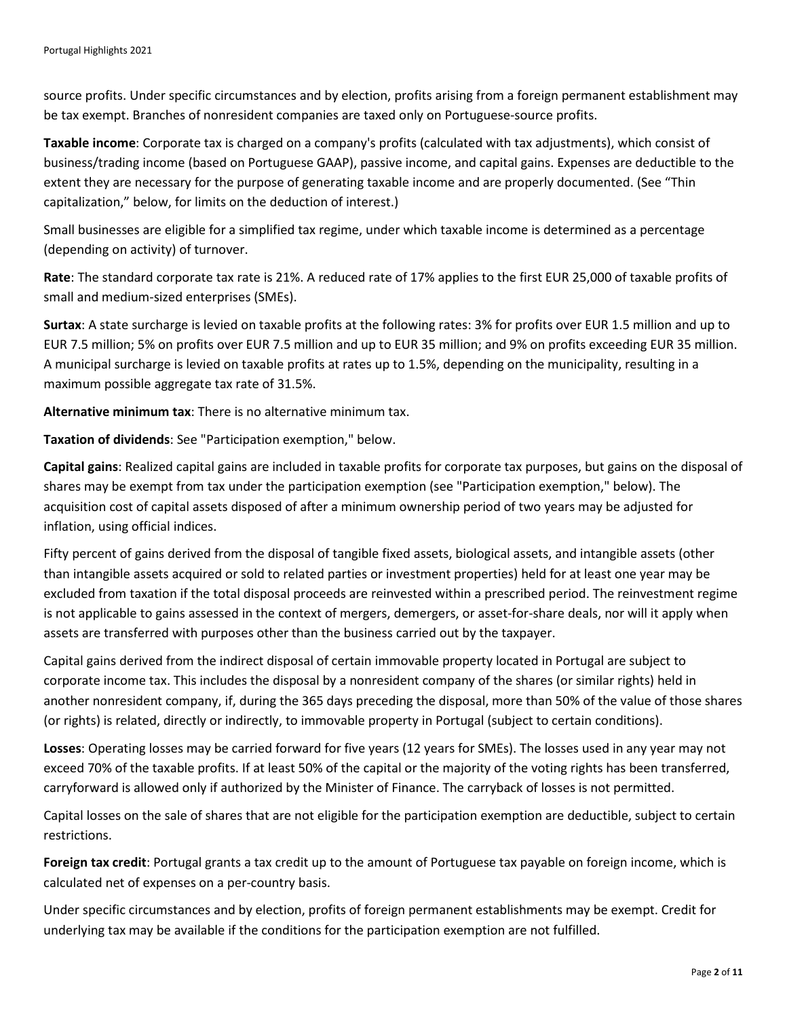source profits. Under specific circumstances and by election, profits arising from a foreign permanent establishment may be tax exempt. Branches of nonresident companies are taxed only on Portuguese-source profits.

**Taxable income**: Corporate tax is charged on a company's profits (calculated with tax adjustments), which consist of business/trading income (based on Portuguese GAAP), passive income, and capital gains. Expenses are deductible to the extent they are necessary for the purpose of generating taxable income and are properly documented. (See "Thin capitalization," below, for limits on the deduction of interest.)

Small businesses are eligible for a simplified tax regime, under which taxable income is determined as a percentage (depending on activity) of turnover.

**Rate**: The standard corporate tax rate is 21%. A reduced rate of 17% applies to the first EUR 25,000 of taxable profits of small and medium-sized enterprises (SMEs).

**Surtax**: A state surcharge is levied on taxable profits at the following rates: 3% for profits over EUR 1.5 million and up to EUR 7.5 million; 5% on profits over EUR 7.5 million and up to EUR 35 million; and 9% on profits exceeding EUR 35 million. A municipal surcharge is levied on taxable profits at rates up to 1.5%, depending on the municipality, resulting in a maximum possible aggregate tax rate of 31.5%.

**Alternative minimum tax**: There is no alternative minimum tax.

**Taxation of dividends**: See "Participation exemption," below.

**Capital gains**: Realized capital gains are included in taxable profits for corporate tax purposes, but gains on the disposal of shares may be exempt from tax under the participation exemption (see "Participation exemption," below). The acquisition cost of capital assets disposed of after a minimum ownership period of two years may be adjusted for inflation, using official indices.

Fifty percent of gains derived from the disposal of tangible fixed assets, biological assets, and intangible assets (other than intangible assets acquired or sold to related parties or investment properties) held for at least one year may be excluded from taxation if the total disposal proceeds are reinvested within a prescribed period. The reinvestment regime is not applicable to gains assessed in the context of mergers, demergers, or asset-for-share deals, nor will it apply when assets are transferred with purposes other than the business carried out by the taxpayer.

Capital gains derived from the indirect disposal of certain immovable property located in Portugal are subject to corporate income tax. This includes the disposal by a nonresident company of the shares (or similar rights) held in another nonresident company, if, during the 365 days preceding the disposal, more than 50% of the value of those shares (or rights) is related, directly or indirectly, to immovable property in Portugal (subject to certain conditions).

**Losses**: Operating losses may be carried forward for five years (12 years for SMEs). The losses used in any year may not exceed 70% of the taxable profits. If at least 50% of the capital or the majority of the voting rights has been transferred, carryforward is allowed only if authorized by the Minister of Finance. The carryback of losses is not permitted.

Capital losses on the sale of shares that are not eligible for the participation exemption are deductible, subject to certain restrictions.

**Foreign tax credit**: Portugal grants a tax credit up to the amount of Portuguese tax payable on foreign income, which is calculated net of expenses on a per-country basis.

Under specific circumstances and by election, profits of foreign permanent establishments may be exempt. Credit for underlying tax may be available if the conditions for the participation exemption are not fulfilled.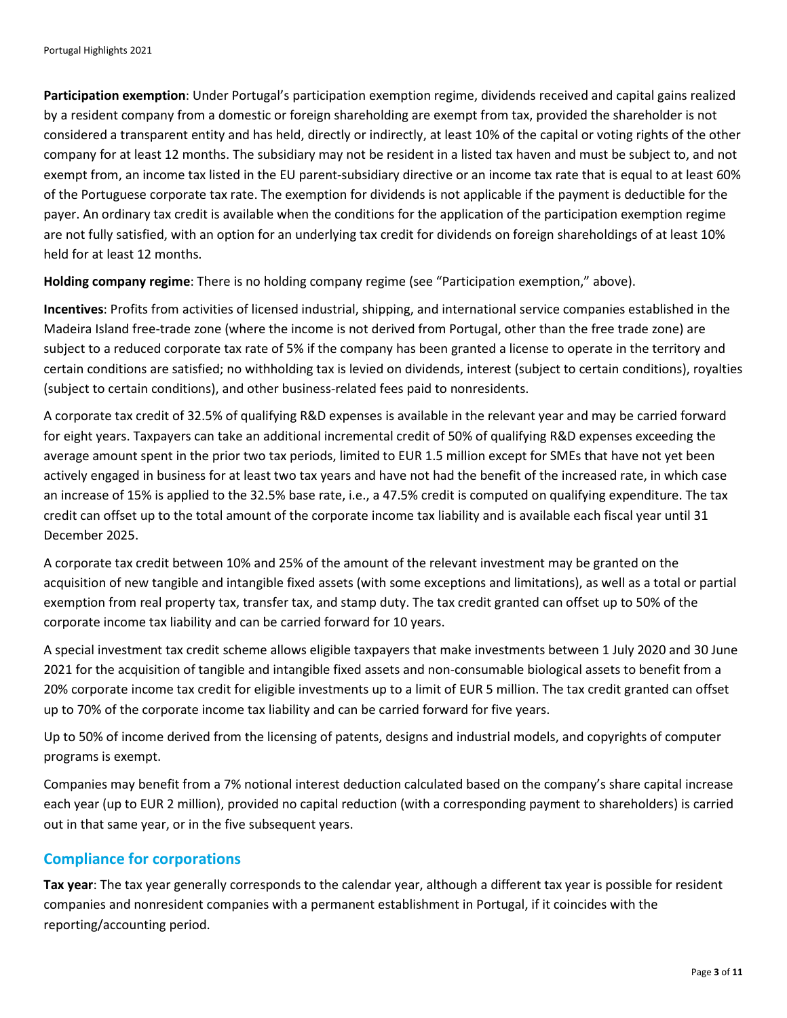**Participation exemption**: Under Portugal's participation exemption regime, dividends received and capital gains realized by a resident company from a domestic or foreign shareholding are exempt from tax, provided the shareholder is not considered a transparent entity and has held, directly or indirectly, at least 10% of the capital or voting rights of the other company for at least 12 months. The subsidiary may not be resident in a listed tax haven and must be subject to, and not exempt from, an income tax listed in the EU parent-subsidiary directive or an income tax rate that is equal to at least 60% of the Portuguese corporate tax rate. The exemption for dividends is not applicable if the payment is deductible for the payer. An ordinary tax credit is available when the conditions for the application of the participation exemption regime are not fully satisfied, with an option for an underlying tax credit for dividends on foreign shareholdings of at least 10% held for at least 12 months.

**Holding company regime**: There is no holding company regime (see "Participation exemption," above).

**Incentives**: Profits from activities of licensed industrial, shipping, and international service companies established in the Madeira Island free-trade zone (where the income is not derived from Portugal, other than the free trade zone) are subject to a reduced corporate tax rate of 5% if the company has been granted a license to operate in the territory and certain conditions are satisfied; no withholding tax is levied on dividends, interest (subject to certain conditions), royalties (subject to certain conditions), and other business-related fees paid to nonresidents.

A corporate tax credit of 32.5% of qualifying R&D expenses is available in the relevant year and may be carried forward for eight years. Taxpayers can take an additional incremental credit of 50% of qualifying R&D expenses exceeding the average amount spent in the prior two tax periods, limited to EUR 1.5 million except for SMEs that have not yet been actively engaged in business for at least two tax years and have not had the benefit of the increased rate, in which case an increase of 15% is applied to the 32.5% base rate, i.e., a 47.5% credit is computed on qualifying expenditure. The tax credit can offset up to the total amount of the corporate income tax liability and is available each fiscal year until 31 December 2025.

A corporate tax credit between 10% and 25% of the amount of the relevant investment may be granted on the acquisition of new tangible and intangible fixed assets (with some exceptions and limitations), as well as a total or partial exemption from real property tax, transfer tax, and stamp duty. The tax credit granted can offset up to 50% of the corporate income tax liability and can be carried forward for 10 years.

A special investment tax credit scheme allows eligible taxpayers that make investments between 1 July 2020 and 30 June 2021 for the acquisition of tangible and intangible fixed assets and non-consumable biological assets to benefit from a 20% corporate income tax credit for eligible investments up to a limit of EUR 5 million. The tax credit granted can offset up to 70% of the corporate income tax liability and can be carried forward for five years.

Up to 50% of income derived from the licensing of patents, designs and industrial models, and copyrights of computer programs is exempt.

Companies may benefit from a 7% notional interest deduction calculated based on the company's share capital increase each year (up to EUR 2 million), provided no capital reduction (with a corresponding payment to shareholders) is carried out in that same year, or in the five subsequent years.

### **Compliance for corporations**

**Tax year**: The tax year generally corresponds to the calendar year, although a different tax year is possible for resident companies and nonresident companies with a permanent establishment in Portugal, if it coincides with the reporting/accounting period.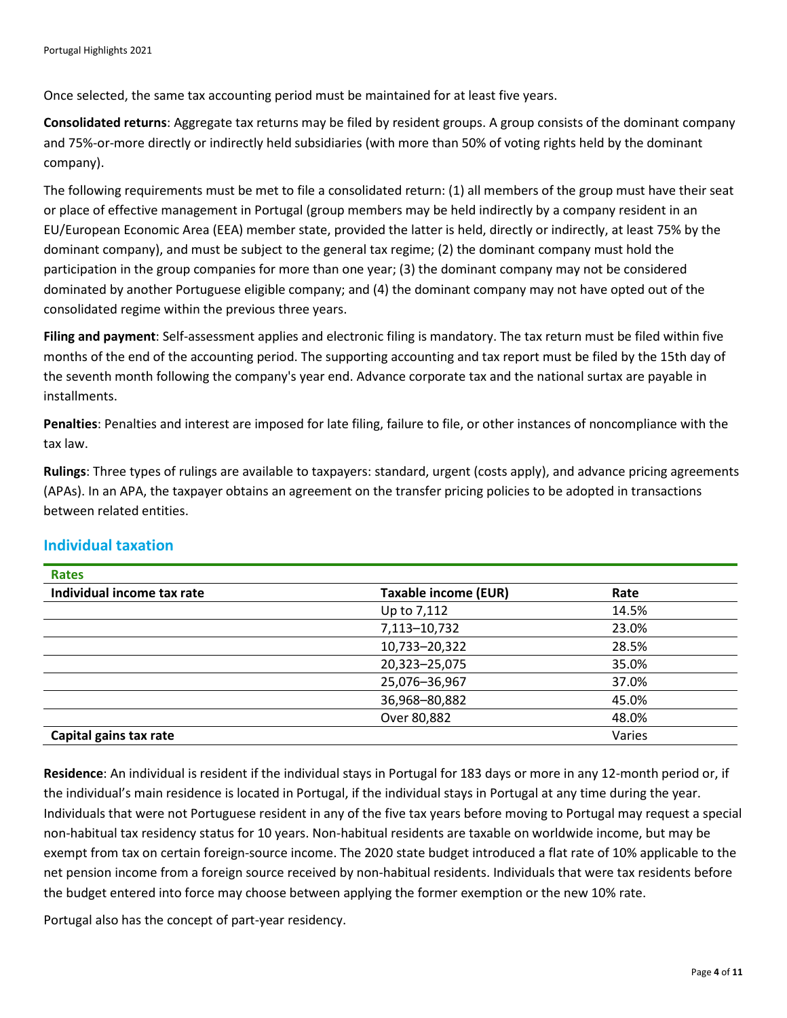Once selected, the same tax accounting period must be maintained for at least five years.

**Consolidated returns**: Aggregate tax returns may be filed by resident groups. A group consists of the dominant company and 75%-or-more directly or indirectly held subsidiaries (with more than 50% of voting rights held by the dominant company).

The following requirements must be met to file a consolidated return: (1) all members of the group must have their seat or place of effective management in Portugal (group members may be held indirectly by a company resident in an EU/European Economic Area (EEA) member state, provided the latter is held, directly or indirectly, at least 75% by the dominant company), and must be subject to the general tax regime; (2) the dominant company must hold the participation in the group companies for more than one year; (3) the dominant company may not be considered dominated by another Portuguese eligible company; and (4) the dominant company may not have opted out of the consolidated regime within the previous three years.

**Filing and payment**: Self-assessment applies and electronic filing is mandatory. The tax return must be filed within five months of the end of the accounting period. The supporting accounting and tax report must be filed by the 15th day of the seventh month following the company's year end. Advance corporate tax and the national surtax are payable in installments.

**Penalties**: Penalties and interest are imposed for late filing, failure to file, or other instances of noncompliance with the tax law.

**Rulings**: Three types of rulings are available to taxpayers: standard, urgent (costs apply), and advance pricing agreements (APAs). In an APA, the taxpayer obtains an agreement on the transfer pricing policies to be adopted in transactions between related entities.

| Rates                      |                             |        |
|----------------------------|-----------------------------|--------|
| Individual income tax rate | <b>Taxable income (EUR)</b> | Rate   |
|                            | Up to 7,112                 | 14.5%  |
|                            | 7,113-10,732                | 23.0%  |
|                            | 10,733-20,322               | 28.5%  |
|                            | 20,323-25,075               | 35.0%  |
|                            | 25,076-36,967               | 37.0%  |
|                            | 36,968-80,882               | 45.0%  |
|                            | Over 80,882                 | 48.0%  |
| Capital gains tax rate     |                             | Varies |

#### **Individual taxation**

**Residence**: An individual is resident if the individual stays in Portugal for 183 days or more in any 12-month period or, if the individual's main residence is located in Portugal, if the individual stays in Portugal at any time during the year. Individuals that were not Portuguese resident in any of the five tax years before moving to Portugal may request a special non-habitual tax residency status for 10 years. Non-habitual residents are taxable on worldwide income, but may be exempt from tax on certain foreign-source income. The 2020 state budget introduced a flat rate of 10% applicable to the net pension income from a foreign source received by non-habitual residents. Individuals that were tax residents before the budget entered into force may choose between applying the former exemption or the new 10% rate.

Portugal also has the concept of part-year residency.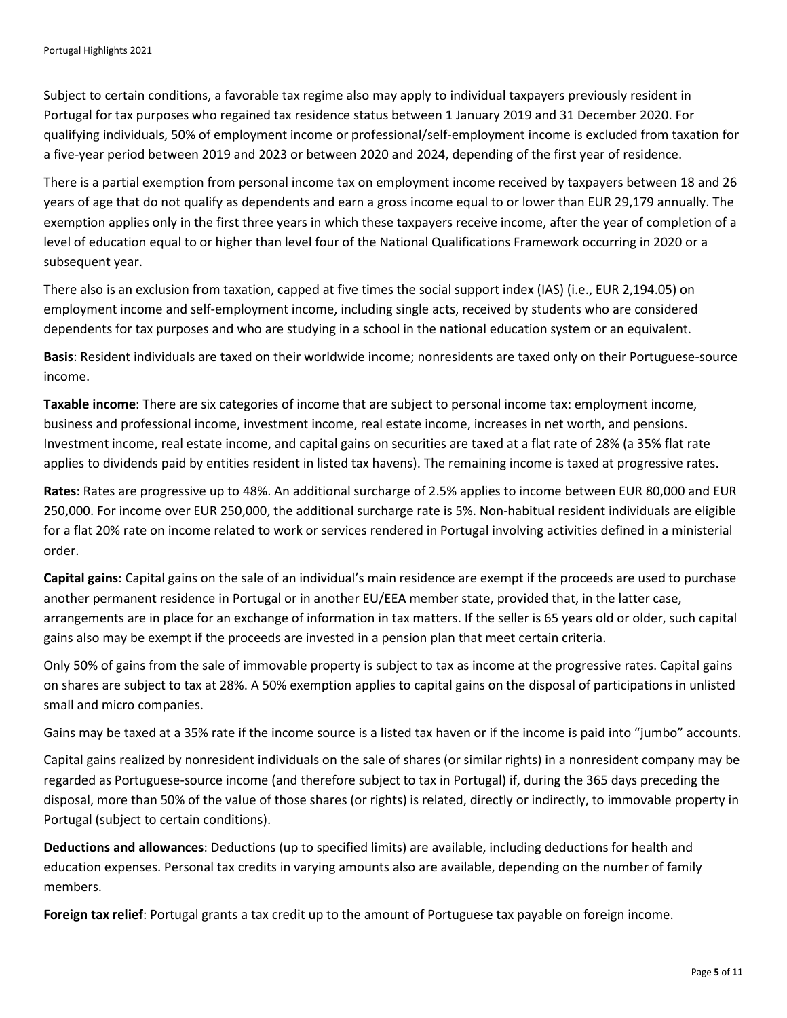Subject to certain conditions, a favorable tax regime also may apply to individual taxpayers previously resident in Portugal for tax purposes who regained tax residence status between 1 January 2019 and 31 December 2020. For qualifying individuals, 50% of employment income or professional/self-employment income is excluded from taxation for a five-year period between 2019 and 2023 or between 2020 and 2024, depending of the first year of residence.

There is a partial exemption from personal income tax on employment income received by taxpayers between 18 and 26 years of age that do not qualify as dependents and earn a gross income equal to or lower than EUR 29,179 annually. The exemption applies only in the first three years in which these taxpayers receive income, after the year of completion of a level of education equal to or higher than level four of the National Qualifications Framework occurring in 2020 or a subsequent year.

There also is an exclusion from taxation, capped at five times the social support index (IAS) (i.e., EUR 2,194.05) on employment income and self-employment income, including single acts, received by students who are considered dependents for tax purposes and who are studying in a school in the national education system or an equivalent.

**Basis**: Resident individuals are taxed on their worldwide income; nonresidents are taxed only on their Portuguese-source income.

**Taxable income**: There are six categories of income that are subject to personal income tax: employment income, business and professional income, investment income, real estate income, increases in net worth, and pensions. Investment income, real estate income, and capital gains on securities are taxed at a flat rate of 28% (a 35% flat rate applies to dividends paid by entities resident in listed tax havens). The remaining income is taxed at progressive rates.

**Rates**: Rates are progressive up to 48%. An additional surcharge of 2.5% applies to income between EUR 80,000 and EUR 250,000. For income over EUR 250,000, the additional surcharge rate is 5%. Non-habitual resident individuals are eligible for a flat 20% rate on income related to work or services rendered in Portugal involving activities defined in a ministerial order.

**Capital gains**: Capital gains on the sale of an individual's main residence are exempt if the proceeds are used to purchase another permanent residence in Portugal or in another EU/EEA member state, provided that, in the latter case, arrangements are in place for an exchange of information in tax matters. If the seller is 65 years old or older, such capital gains also may be exempt if the proceeds are invested in a pension plan that meet certain criteria.

Only 50% of gains from the sale of immovable property is subject to tax as income at the progressive rates. Capital gains on shares are subject to tax at 28%. A 50% exemption applies to capital gains on the disposal of participations in unlisted small and micro companies.

Gains may be taxed at a 35% rate if the income source is a listed tax haven or if the income is paid into "jumbo" accounts.

Capital gains realized by nonresident individuals on the sale of shares (or similar rights) in a nonresident company may be regarded as Portuguese-source income (and therefore subject to tax in Portugal) if, during the 365 days preceding the disposal, more than 50% of the value of those shares (or rights) is related, directly or indirectly, to immovable property in Portugal (subject to certain conditions).

**Deductions and allowances**: Deductions (up to specified limits) are available, including deductions for health and education expenses. Personal tax credits in varying amounts also are available, depending on the number of family members.

**Foreign tax relief**: Portugal grants a tax credit up to the amount of Portuguese tax payable on foreign income.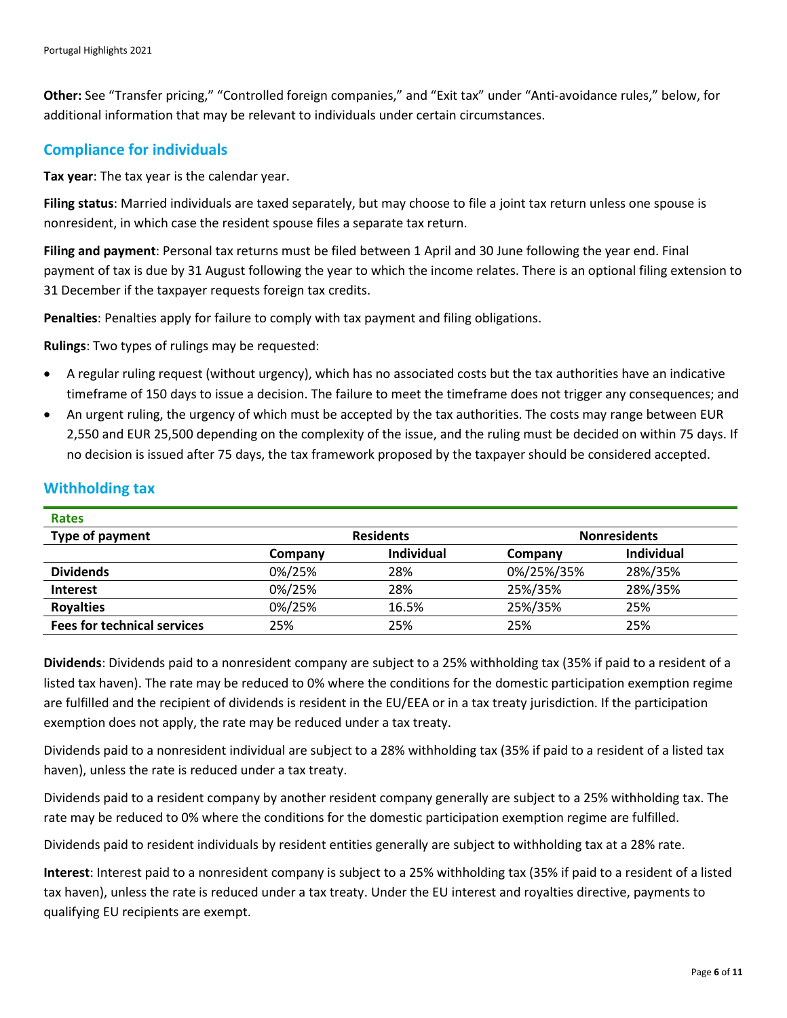**Other:** See "Transfer pricing," "Controlled foreign companies," and "Exit tax" under "Anti-avoidance rules," below, for additional information that may be relevant to individuals under certain circumstances.

#### **Compliance for individuals**

**Tax year**: The tax year is the calendar year.

**Filing status**: Married individuals are taxed separately, but may choose to file a joint tax return unless one spouse is nonresident, in which case the resident spouse files a separate tax return.

**Filing and payment**: Personal tax returns must be filed between 1 April and 30 June following the year end. Final payment of tax is due by 31 August following the year to which the income relates. There is an optional filing extension to 31 December if the taxpayer requests foreign tax credits.

**Penalties**: Penalties apply for failure to comply with tax payment and filing obligations.

**Rulings**: Two types of rulings may be requested:

- A regular ruling request (without urgency), which has no associated costs but the tax authorities have an indicative timeframe of 150 days to issue a decision. The failure to meet the timeframe does not trigger any consequences; and
- An urgent ruling, the urgency of which must be accepted by the tax authorities. The costs may range between EUR 2,550 and EUR 25,500 depending on the complexity of the issue, and the ruling must be decided on within 75 days. If no decision is issued after 75 days, the tax framework proposed by the taxpayer should be considered accepted.

| <b>Rates</b>                       |                  |                   |                     |                   |
|------------------------------------|------------------|-------------------|---------------------|-------------------|
| Type of payment                    | <b>Residents</b> |                   | <b>Nonresidents</b> |                   |
|                                    | Company          | <b>Individual</b> | Company             | <b>Individual</b> |
| <b>Dividends</b>                   | 0%/25%           | 28%               | 0%/25%/35%          | 28%/35%           |
| <b>Interest</b>                    | 0%/25%           | 28%               | 25%/35%             | 28%/35%           |
| <b>Royalties</b>                   | 0%/25%           | 16.5%             | 25%/35%             | 25%               |
| <b>Fees for technical services</b> | 25%              | 25%               | 25%                 | 25%               |

#### **Withholding tax**

**Dividends**: Dividends paid to a nonresident company are subject to a 25% withholding tax (35% if paid to a resident of a listed tax haven). The rate may be reduced to 0% where the conditions for the domestic participation exemption regime are fulfilled and the recipient of dividends is resident in the EU/EEA or in a tax treaty jurisdiction. If the participation exemption does not apply, the rate may be reduced under a tax treaty.

Dividends paid to a nonresident individual are subject to a 28% withholding tax (35% if paid to a resident of a listed tax haven), unless the rate is reduced under a tax treaty.

Dividends paid to a resident company by another resident company generally are subject to a 25% withholding tax. The rate may be reduced to 0% where the conditions for the domestic participation exemption regime are fulfilled.

Dividends paid to resident individuals by resident entities generally are subject to withholding tax at a 28% rate.

**Interest**: Interest paid to a nonresident company is subject to a 25% withholding tax (35% if paid to a resident of a listed tax haven), unless the rate is reduced under a tax treaty. Under the EU interest and royalties directive, payments to qualifying EU recipients are exempt.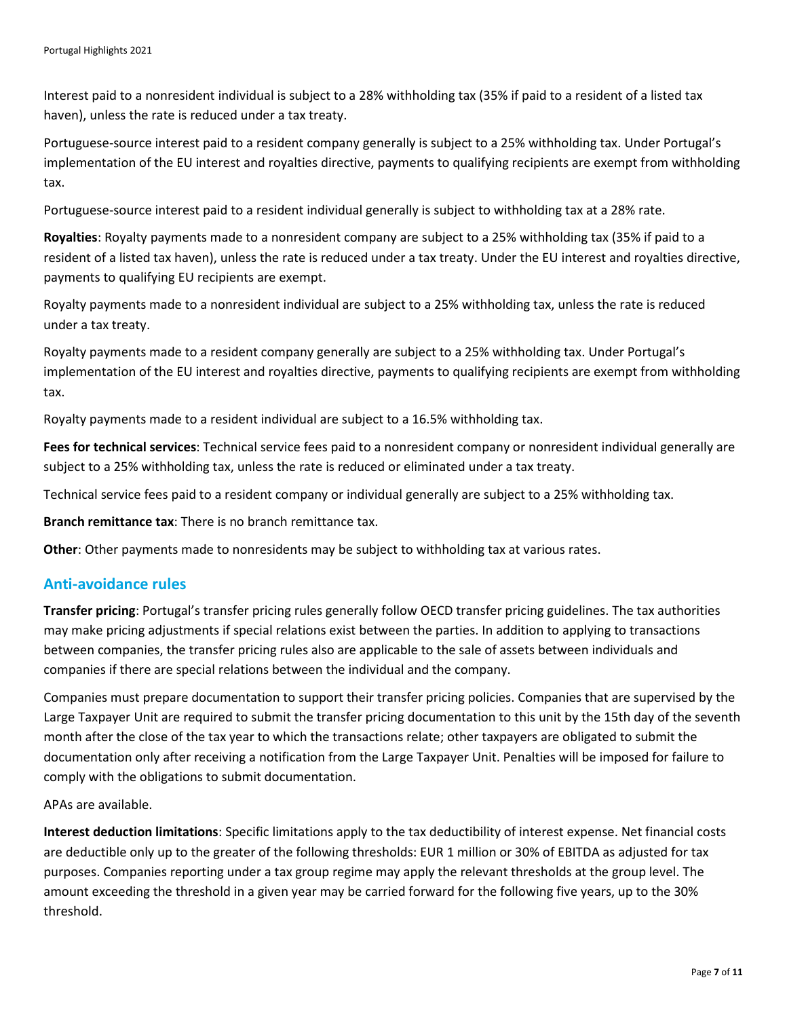Interest paid to a nonresident individual is subject to a 28% withholding tax (35% if paid to a resident of a listed tax haven), unless the rate is reduced under a tax treaty.

Portuguese-source interest paid to a resident company generally is subject to a 25% withholding tax. Under Portugal's implementation of the EU interest and royalties directive, payments to qualifying recipients are exempt from withholding tax.

Portuguese-source interest paid to a resident individual generally is subject to withholding tax at a 28% rate.

**Royalties**: Royalty payments made to a nonresident company are subject to a 25% withholding tax (35% if paid to a resident of a listed tax haven), unless the rate is reduced under a tax treaty. Under the EU interest and royalties directive, payments to qualifying EU recipients are exempt.

Royalty payments made to a nonresident individual are subject to a 25% withholding tax, unless the rate is reduced under a tax treaty.

Royalty payments made to a resident company generally are subject to a 25% withholding tax. Under Portugal's implementation of the EU interest and royalties directive, payments to qualifying recipients are exempt from withholding tax.

Royalty payments made to a resident individual are subject to a 16.5% withholding tax.

**Fees for technical services**: Technical service fees paid to a nonresident company or nonresident individual generally are subject to a 25% withholding tax, unless the rate is reduced or eliminated under a tax treaty.

Technical service fees paid to a resident company or individual generally are subject to a 25% withholding tax.

**Branch remittance tax**: There is no branch remittance tax.

**Other**: Other payments made to nonresidents may be subject to withholding tax at various rates.

#### **Anti-avoidance rules**

**Transfer pricing**: Portugal's transfer pricing rules generally follow OECD transfer pricing guidelines. The tax authorities may make pricing adjustments if special relations exist between the parties. In addition to applying to transactions between companies, the transfer pricing rules also are applicable to the sale of assets between individuals and companies if there are special relations between the individual and the company.

Companies must prepare documentation to support their transfer pricing policies. Companies that are supervised by the Large Taxpayer Unit are required to submit the transfer pricing documentation to this unit by the 15th day of the seventh month after the close of the tax year to which the transactions relate; other taxpayers are obligated to submit the documentation only after receiving a notification from the Large Taxpayer Unit. Penalties will be imposed for failure to comply with the obligations to submit documentation.

APAs are available.

**Interest deduction limitations**: Specific limitations apply to the tax deductibility of interest expense. Net financial costs are deductible only up to the greater of the following thresholds: EUR 1 million or 30% of EBITDA as adjusted for tax purposes. Companies reporting under a tax group regime may apply the relevant thresholds at the group level. The amount exceeding the threshold in a given year may be carried forward for the following five years, up to the 30% threshold.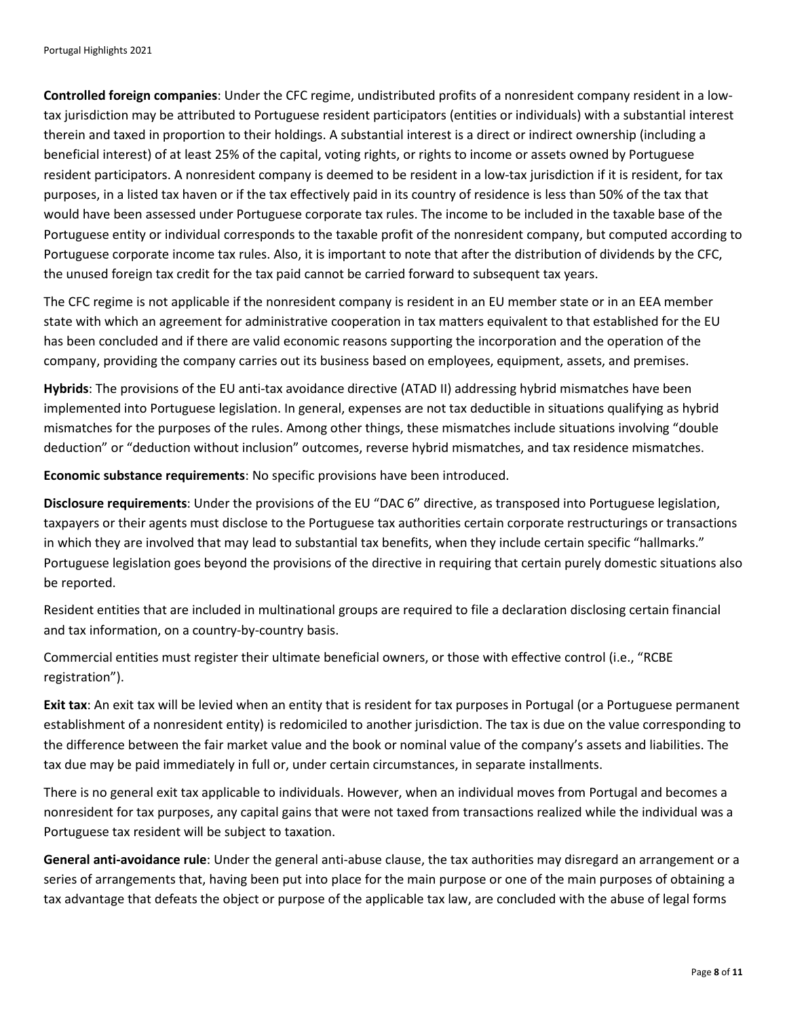**Controlled foreign companies**: Under the CFC regime, undistributed profits of a nonresident company resident in a lowtax jurisdiction may be attributed to Portuguese resident participators (entities or individuals) with a substantial interest therein and taxed in proportion to their holdings. A substantial interest is a direct or indirect ownership (including a beneficial interest) of at least 25% of the capital, voting rights, or rights to income or assets owned by Portuguese resident participators. A nonresident company is deemed to be resident in a low-tax jurisdiction if it is resident, for tax purposes, in a listed tax haven or if the tax effectively paid in its country of residence is less than 50% of the tax that would have been assessed under Portuguese corporate tax rules. The income to be included in the taxable base of the Portuguese entity or individual corresponds to the taxable profit of the nonresident company, but computed according to Portuguese corporate income tax rules. Also, it is important to note that after the distribution of dividends by the CFC, the unused foreign tax credit for the tax paid cannot be carried forward to subsequent tax years.

The CFC regime is not applicable if the nonresident company is resident in an EU member state or in an EEA member state with which an agreement for administrative cooperation in tax matters equivalent to that established for the EU has been concluded and if there are valid economic reasons supporting the incorporation and the operation of the company, providing the company carries out its business based on employees, equipment, assets, and premises.

**Hybrids**: The provisions of the EU anti-tax avoidance directive (ATAD II) addressing hybrid mismatches have been implemented into Portuguese legislation. In general, expenses are not tax deductible in situations qualifying as hybrid mismatches for the purposes of the rules. Among other things, these mismatches include situations involving "double deduction" or "deduction without inclusion" outcomes, reverse hybrid mismatches, and tax residence mismatches.

**Economic substance requirements**: No specific provisions have been introduced.

**Disclosure requirements**: Under the provisions of the EU "DAC 6" directive, as transposed into Portuguese legislation, taxpayers or their agents must disclose to the Portuguese tax authorities certain corporate restructurings or transactions in which they are involved that may lead to substantial tax benefits, when they include certain specific "hallmarks." Portuguese legislation goes beyond the provisions of the directive in requiring that certain purely domestic situations also be reported.

Resident entities that are included in multinational groups are required to file a declaration disclosing certain financial and tax information, on a country-by-country basis.

Commercial entities must register their ultimate beneficial owners, or those with effective control (i.e., "RCBE registration").

**Exit tax**: An exit tax will be levied when an entity that is resident for tax purposes in Portugal (or a Portuguese permanent establishment of a nonresident entity) is redomiciled to another jurisdiction. The tax is due on the value corresponding to the difference between the fair market value and the book or nominal value of the company's assets and liabilities. The tax due may be paid immediately in full or, under certain circumstances, in separate installments.

There is no general exit tax applicable to individuals. However, when an individual moves from Portugal and becomes a nonresident for tax purposes, any capital gains that were not taxed from transactions realized while the individual was a Portuguese tax resident will be subject to taxation.

**General anti-avoidance rule**: Under the general anti-abuse clause, the tax authorities may disregard an arrangement or a series of arrangements that, having been put into place for the main purpose or one of the main purposes of obtaining a tax advantage that defeats the object or purpose of the applicable tax law, are concluded with the abuse of legal forms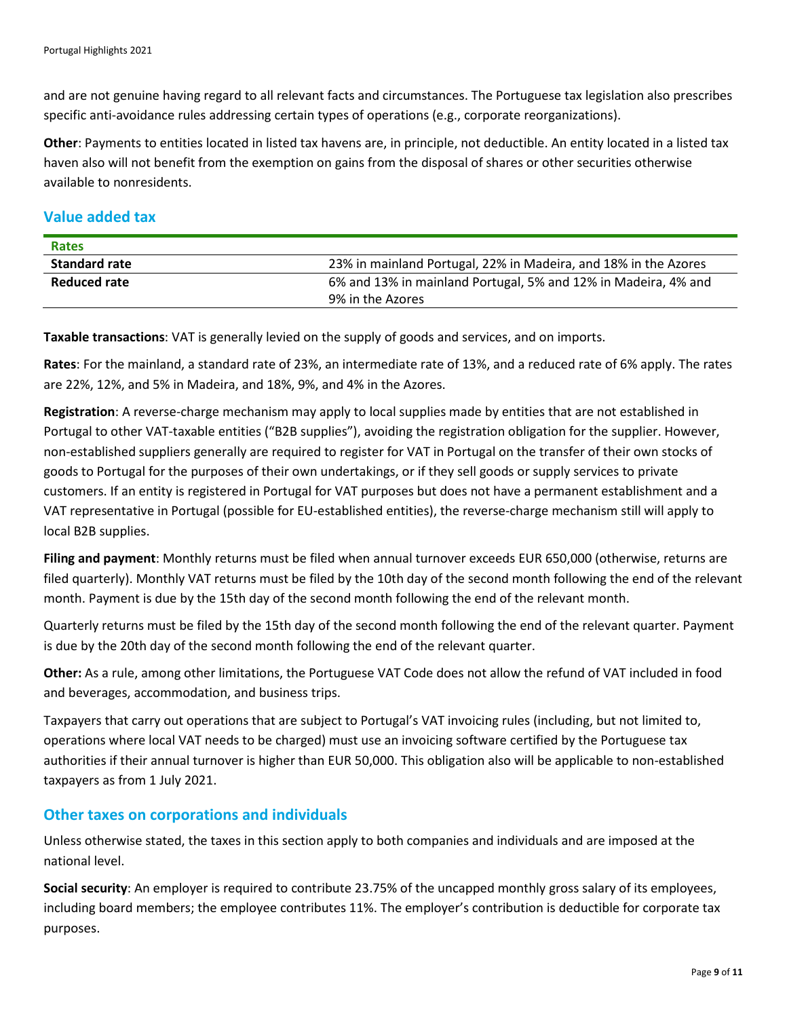and are not genuine having regard to all relevant facts and circumstances. The Portuguese tax legislation also prescribes specific anti-avoidance rules addressing certain types of operations (e.g., corporate reorganizations).

**Other**: Payments to entities located in listed tax havens are, in principle, not deductible. An entity located in a listed tax haven also will not benefit from the exemption on gains from the disposal of shares or other securities otherwise available to nonresidents.

#### **Value added tax**

| <b>Rates</b>         |                                                                 |
|----------------------|-----------------------------------------------------------------|
| <b>Standard rate</b> | 23% in mainland Portugal, 22% in Madeira, and 18% in the Azores |
| <b>Reduced rate</b>  | 6% and 13% in mainland Portugal, 5% and 12% in Madeira, 4% and  |
|                      | 9% in the Azores                                                |

**Taxable transactions**: VAT is generally levied on the supply of goods and services, and on imports.

**Rates**: For the mainland, a standard rate of 23%, an intermediate rate of 13%, and a reduced rate of 6% apply. The rates are 22%, 12%, and 5% in Madeira, and 18%, 9%, and 4% in the Azores.

**Registration**: A reverse-charge mechanism may apply to local supplies made by entities that are not established in Portugal to other VAT-taxable entities ("B2B supplies"), avoiding the registration obligation for the supplier. However, non-established suppliers generally are required to register for VAT in Portugal on the transfer of their own stocks of goods to Portugal for the purposes of their own undertakings, or if they sell goods or supply services to private customers. If an entity is registered in Portugal for VAT purposes but does not have a permanent establishment and a VAT representative in Portugal (possible for EU-established entities), the reverse-charge mechanism still will apply to local B2B supplies.

**Filing and payment**: Monthly returns must be filed when annual turnover exceeds EUR 650,000 (otherwise, returns are filed quarterly). Monthly VAT returns must be filed by the 10th day of the second month following the end of the relevant month. Payment is due by the 15th day of the second month following the end of the relevant month.

Quarterly returns must be filed by the 15th day of the second month following the end of the relevant quarter. Payment is due by the 20th day of the second month following the end of the relevant quarter.

**Other:** As a rule, among other limitations, the Portuguese VAT Code does not allow the refund of VAT included in food and beverages, accommodation, and business trips.

Taxpayers that carry out operations that are subject to Portugal's VAT invoicing rules (including, but not limited to, operations where local VAT needs to be charged) must use an invoicing software certified by the Portuguese tax authorities if their annual turnover is higher than EUR 50,000. This obligation also will be applicable to non-established taxpayers as from 1 July 2021.

#### **Other taxes on corporations and individuals**

Unless otherwise stated, the taxes in this section apply to both companies and individuals and are imposed at the national level.

**Social security**: An employer is required to contribute 23.75% of the uncapped monthly gross salary of its employees, including board members; the employee contributes 11%. The employer's contribution is deductible for corporate tax purposes.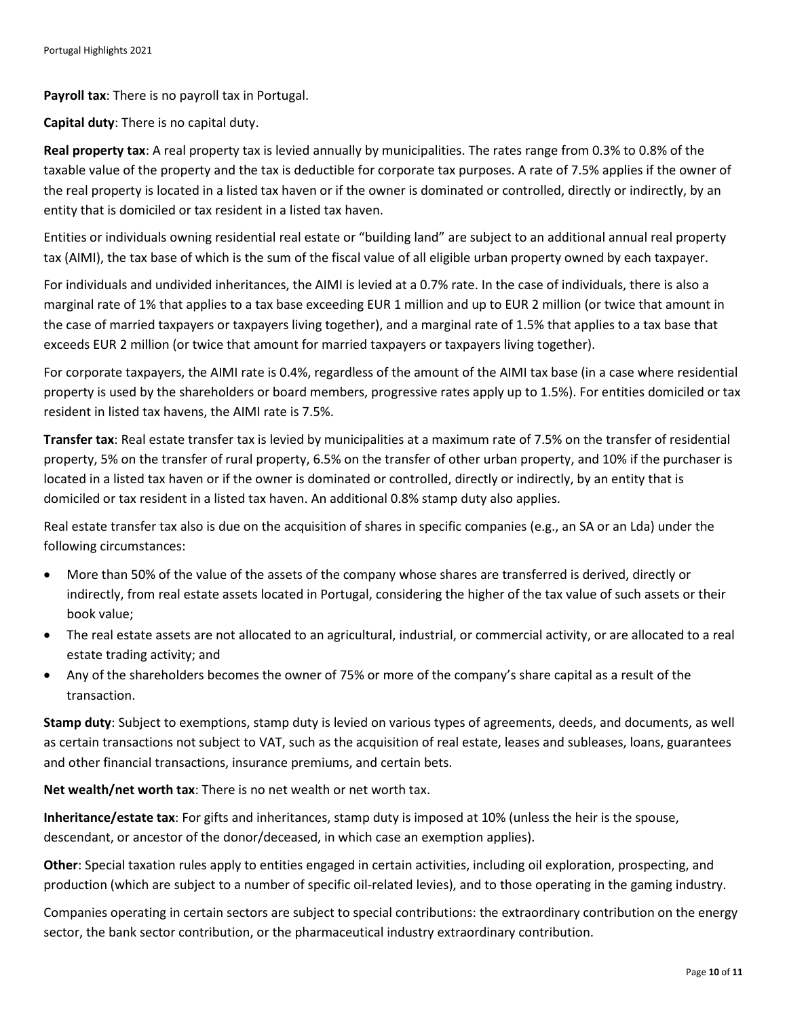**Payroll tax**: There is no payroll tax in Portugal.

**Capital duty**: There is no capital duty.

**Real property tax**: A real property tax is levied annually by municipalities. The rates range from 0.3% to 0.8% of the taxable value of the property and the tax is deductible for corporate tax purposes. A rate of 7.5% applies if the owner of the real property is located in a listed tax haven or if the owner is dominated or controlled, directly or indirectly, by an entity that is domiciled or tax resident in a listed tax haven.

Entities or individuals owning residential real estate or "building land" are subject to an additional annual real property tax (AIMI), the tax base of which is the sum of the fiscal value of all eligible urban property owned by each taxpayer.

For individuals and undivided inheritances, the AIMI is levied at a 0.7% rate. In the case of individuals, there is also a marginal rate of 1% that applies to a tax base exceeding EUR 1 million and up to EUR 2 million (or twice that amount in the case of married taxpayers or taxpayers living together), and a marginal rate of 1.5% that applies to a tax base that exceeds EUR 2 million (or twice that amount for married taxpayers or taxpayers living together).

For corporate taxpayers, the AIMI rate is 0.4%, regardless of the amount of the AIMI tax base (in a case where residential property is used by the shareholders or board members, progressive rates apply up to 1.5%). For entities domiciled or tax resident in listed tax havens, the AIMI rate is 7.5%.

**Transfer tax**: Real estate transfer tax is levied by municipalities at a maximum rate of 7.5% on the transfer of residential property, 5% on the transfer of rural property, 6.5% on the transfer of other urban property, and 10% if the purchaser is located in a listed tax haven or if the owner is dominated or controlled, directly or indirectly, by an entity that is domiciled or tax resident in a listed tax haven. An additional 0.8% stamp duty also applies.

Real estate transfer tax also is due on the acquisition of shares in specific companies (e.g., an SA or an Lda) under the following circumstances:

- More than 50% of the value of the assets of the company whose shares are transferred is derived, directly or indirectly, from real estate assets located in Portugal, considering the higher of the tax value of such assets or their book value;
- The real estate assets are not allocated to an agricultural, industrial, or commercial activity, or are allocated to a real estate trading activity; and
- Any of the shareholders becomes the owner of 75% or more of the company's share capital as a result of the transaction.

**Stamp duty**: Subject to exemptions, stamp duty is levied on various types of agreements, deeds, and documents, as well as certain transactions not subject to VAT, such as the acquisition of real estate, leases and subleases, loans, guarantees and other financial transactions, insurance premiums, and certain bets.

**Net wealth/net worth tax**: There is no net wealth or net worth tax.

**Inheritance/estate tax**: For gifts and inheritances, stamp duty is imposed at 10% (unless the heir is the spouse, descendant, or ancestor of the donor/deceased, in which case an exemption applies).

**Other**: Special taxation rules apply to entities engaged in certain activities, including oil exploration, prospecting, and production (which are subject to a number of specific oil-related levies), and to those operating in the gaming industry.

Companies operating in certain sectors are subject to special contributions: the extraordinary contribution on the energy sector, the bank sector contribution, or the pharmaceutical industry extraordinary contribution.